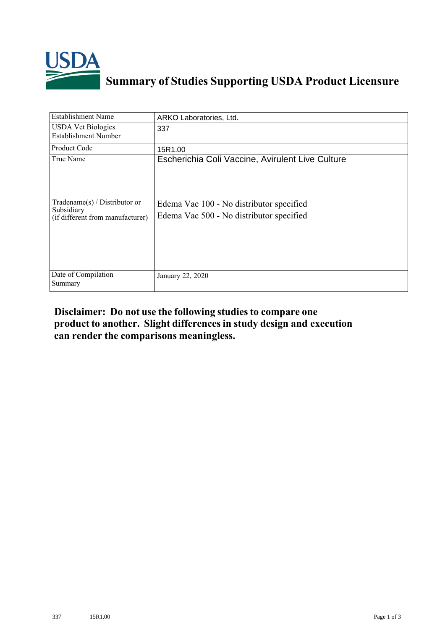

## **Summary of Studies Supporting USDA Product Licensure**

| <b>Establishment Name</b>                                                         | ARKO Laboratories, Ltd.                                                              |
|-----------------------------------------------------------------------------------|--------------------------------------------------------------------------------------|
| <b>USDA Vet Biologics</b><br><b>Establishment Number</b>                          | 337                                                                                  |
| Product Code                                                                      | 15R1.00                                                                              |
| True Name                                                                         | Escherichia Coli Vaccine, Avirulent Live Culture                                     |
| $Tradename(s) / Distributor$ or<br>Subsidiary<br>(if different from manufacturer) | Edema Vac 100 - No distributor specified<br>Edema Vac 500 - No distributor specified |
| Date of Compilation<br>Summary                                                    | January 22, 2020                                                                     |

## **Disclaimer: Do not use the following studiesto compare one product to another. Slight differencesin study design and execution can render the comparisons meaningless.**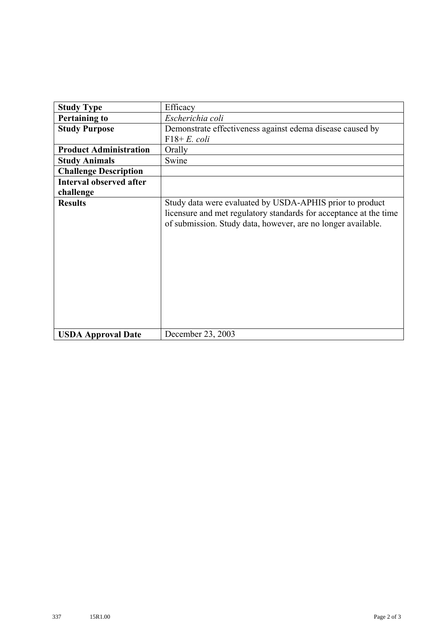| <b>Study Type</b>              | Efficacy                                                                                                                                                                                      |
|--------------------------------|-----------------------------------------------------------------------------------------------------------------------------------------------------------------------------------------------|
|                                |                                                                                                                                                                                               |
| <b>Pertaining to</b>           | Escherichia coli                                                                                                                                                                              |
| <b>Study Purpose</b>           | Demonstrate effectiveness against edema disease caused by                                                                                                                                     |
|                                | $F18+E$ , coli                                                                                                                                                                                |
| <b>Product Administration</b>  | Orally                                                                                                                                                                                        |
| <b>Study Animals</b>           | Swine                                                                                                                                                                                         |
| <b>Challenge Description</b>   |                                                                                                                                                                                               |
| <b>Interval observed after</b> |                                                                                                                                                                                               |
| challenge                      |                                                                                                                                                                                               |
| <b>Results</b>                 | Study data were evaluated by USDA-APHIS prior to product<br>licensure and met regulatory standards for acceptance at the time<br>of submission. Study data, however, are no longer available. |
| <b>USDA Approval Date</b>      | December 23, 2003                                                                                                                                                                             |